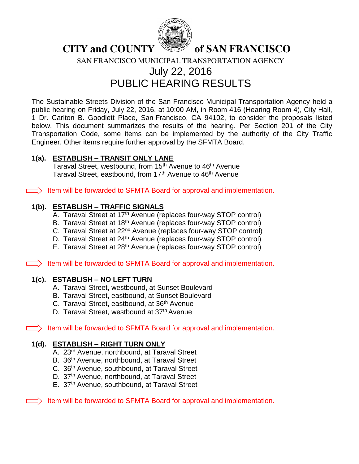

**CITY and COUNTY South of SAN FRANCISCO** 

SAN FRANCISCO MUNICIPAL TRANSPORTATION AGENCY

### July 22, 2016 PUBLIC HEARING RESULTS

The Sustainable Streets Division of the San Francisco Municipal Transportation Agency held a public hearing on Friday, July 22, 2016, at 10:00 AM, in Room 416 (Hearing Room 4), City Hall, 1 Dr. Carlton B. Goodlett Place, San Francisco, CA 94102, to consider the proposals listed below. This document summarizes the results of the hearing. Per Section 201 of the City Transportation Code, some items can be implemented by the authority of the City Traffic Engineer. Other items require further approval by the SFMTA Board.

#### **1(a). ESTABLISH – TRANSIT ONLY LANE**

Taraval Street, westbound, from 15<sup>th</sup> Avenue to 46<sup>th</sup> Avenue Taraval Street, eastbound, from 17<sup>th</sup> Avenue to 46<sup>th</sup> Avenue

 $\Box$ ) Item will be forwarded to SFMTA Board for approval and implementation.

#### **1(b). ESTABLISH – TRAFFIC SIGNALS**

- A. Taraval Street at 17<sup>th</sup> Avenue (replaces four-way STOP control)
- B. Taraval Street at 18<sup>th</sup> Avenue (replaces four-way STOP control)
- C. Taraval Street at 22<sup>nd</sup> Avenue (replaces four-way STOP control)
- D. Taraval Street at 24<sup>th</sup> Avenue (replaces four-way STOP control)
- E. Taraval Street at 28th Avenue (replaces four-way STOP control)

 $\Box$  Item will be forwarded to SFMTA Board for approval and implementation.

### **1(c). ESTABLISH – NO LEFT TURN**

- A. Taraval Street, westbound, at Sunset Boulevard
- B. Taraval Street, eastbound, at Sunset Boulevard
- C. Taraval Street, eastbound, at 36<sup>th</sup> Avenue
- D. Taraval Street, westbound at 37<sup>th</sup> Avenue

 $\Box$  Item will be forwarded to SFMTA Board for approval and implementation.

#### **1(d). ESTABLISH – RIGHT TURN ONLY**

- A. 23rd Avenue, northbound, at Taraval Street
- B. 36<sup>th</sup> Avenue, northbound, at Taraval Street
- C. 36<sup>th</sup> Avenue, southbound, at Taraval Street
- D. 37<sup>th</sup> Avenue, northbound, at Taraval Street
- E. 37<sup>th</sup> Avenue, southbound, at Taraval Street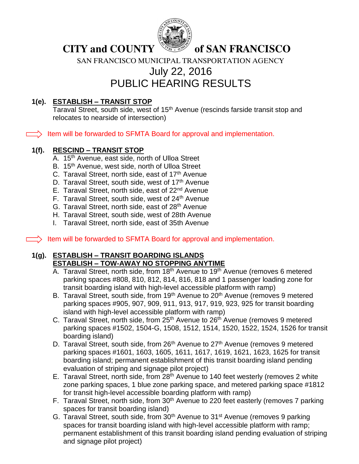

SAN FRANCISCO MUNICIPAL TRANSPORTATION AGENCY

# July 22, 2016

### PUBLIC HEARING RESULTS

### **1(e). ESTABLISH – TRANSIT STOP**

Taraval Street, south side, west of 15<sup>th</sup> Avenue (rescinds farside transit stop and relocates to nearside of intersection)

 $\equiv$ ) Item will be forwarded to SFMTA Board for approval and implementation.

### **1(f). RESCIND – TRANSIT STOP**

- A. 15<sup>th</sup> Avenue, east side, north of Ulloa Street
- B. 15<sup>th</sup> Avenue, west side, north of Ulloa Street
- C. Taraval Street, north side, east of 17<sup>th</sup> Avenue
- D. Taraval Street, south side, west of 17<sup>th</sup> Avenue
- E. Taraval Street, north side, east of 22<sup>nd</sup> Avenue
- F. Taraval Street, south side, west of 24<sup>th</sup> Avenue
- G. Taraval Street, north side, east of 28<sup>th</sup> Avenue
- H. Taraval Street, south side, west of 28th Avenue
- I. Taraval Street, north side, east of 35th Avenue

 $\equiv$ ) Item will be forwarded to SFMTA Board for approval and implementation.

#### **1(g). ESTABLISH – TRANSIT BOARDING ISLANDS ESTABLISH – TOW-AWAY NO STOPPING ANYTIME**

- A. Taraval Street, north side, from 18<sup>th</sup> Avenue to 19<sup>th</sup> Avenue (removes 6 metered parking spaces #808, 810, 812, 814, 816, 818 and 1 passenger loading zone for transit boarding island with high-level accessible platform with ramp)
- B. Taraval Street, south side, from 19<sup>th</sup> Avenue to 20<sup>th</sup> Avenue (removes 9 metered parking spaces #905, 907, 909, 911, 913, 917, 919, 923, 925 for transit boarding island with high-level accessible platform with ramp)
- C. Taraval Street, north side, from 25<sup>th</sup> Avenue to 26<sup>th</sup> Avenue (removes 9 metered parking spaces #1502, 1504-G, 1508, 1512, 1514, 1520, 1522, 1524, 1526 for transit boarding island)
- D. Taraval Street, south side, from  $26<sup>th</sup>$  Avenue to  $27<sup>th</sup>$  Avenue (removes 9 metered parking spaces #1601, 1603, 1605, 1611, 1617, 1619, 1621, 1623, 1625 for transit boarding island; permanent establishment of this transit boarding island pending evaluation of striping and signage pilot project)
- E. Taraval Street, north side, from 28<sup>th</sup> Avenue to 140 feet westerly (removes 2 white zone parking spaces, 1 blue zone parking space, and metered parking space #1812 for transit high-level accessible boarding platform with ramp)
- F. Taraval Street, north side, from 30<sup>th</sup> Avenue to 220 feet easterly (removes 7 parking spaces for transit boarding island)
- G. Taraval Street, south side, from 30<sup>th</sup> Avenue to 31<sup>st</sup> Avenue (removes 9 parking spaces for transit boarding island with high-level accessible platform with ramp; permanent establishment of this transit boarding island pending evaluation of striping and signage pilot project)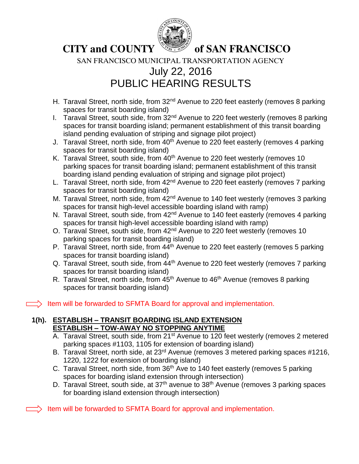

SAN FRANCISCO MUNICIPAL TRANSPORTATION AGENCY

# July 22, 2016 PUBLIC HEARING RESULTS

- H. Taraval Street, north side, from 32<sup>nd</sup> Avenue to 220 feet easterly (removes 8 parking spaces for transit boarding island)
- I. Taraval Street, south side, from 32<sup>nd</sup> Avenue to 220 feet westerly (removes 8 parking spaces for transit boarding island; permanent establishment of this transit boarding island pending evaluation of striping and signage pilot project)
- J. Taraval Street, north side, from 40<sup>th</sup> Avenue to 220 feet easterly (removes 4 parking spaces for transit boarding island)
- K. Taraval Street, south side, from 40<sup>th</sup> Avenue to 220 feet westerly (removes 10 parking spaces for transit boarding island; permanent establishment of this transit boarding island pending evaluation of striping and signage pilot project)
- L. Taraval Street, north side, from 42<sup>nd</sup> Avenue to 220 feet easterly (removes 7 parking spaces for transit boarding island)
- M. Taraval Street, north side, from 42<sup>nd</sup> Avenue to 140 feet westerly (removes 3 parking spaces for transit high-level accessible boarding island with ramp)
- N. Taraval Street, south side, from  $42<sup>nd</sup>$  Avenue to 140 feet easterly (removes 4 parking spaces for transit high-level accessible boarding island with ramp)
- O. Taraval Street, south side, from 42<sup>nd</sup> Avenue to 220 feet westerly (removes 10 parking spaces for transit boarding island)
- P. Taraval Street, north side, from 44<sup>th</sup> Avenue to 220 feet easterly (removes 5 parking spaces for transit boarding island)
- Q. Taraval Street, south side, from 44<sup>th</sup> Avenue to 220 feet westerly (removes 7 parking spaces for transit boarding island)
- R. Taraval Street, north side, from 45<sup>th</sup> Avenue to 46<sup>th</sup> Avenue (removes 8 parking spaces for transit boarding island)

 $\Rightarrow$  Item will be forwarded to SFMTA Board for approval and implementation.

#### **1(h). ESTABLISH – TRANSIT BOARDING ISLAND EXTENSION ESTABLISH – TOW-AWAY NO STOPPING ANYTIME**

- A. Taraval Street, south side, from 21<sup>st</sup> Avenue to 120 feet westerly (removes 2 metered parking spaces #1103, 1105 for extension of boarding island)
- B. Taraval Street, north side, at 23<sup>rd</sup> Avenue (removes 3 metered parking spaces #1216, 1220, 1222 for extension of boarding island)
- C. Taraval Street, north side, from 36<sup>th</sup> Ave to 140 feet easterly (removes 5 parking spaces for boarding island extension through intersection)
- D. Taraval Street, south side, at 37<sup>th</sup> avenue to 38<sup>th</sup> Avenue (removes 3 parking spaces for boarding island extension through intersection)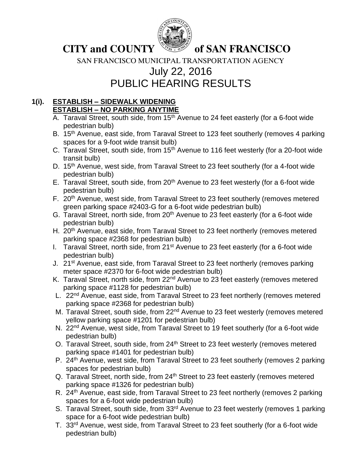

SAN FRANCISCO MUNICIPAL TRANSPORTATION AGENCY

# July 22, 2016

PUBLIC HEARING RESULTS

### **1(i). ESTABLISH – SIDEWALK WIDENING ESTABLISH – NO PARKING ANYTIME**

- A. Taraval Street, south side, from  $15<sup>th</sup>$  Avenue to 24 feet easterly (for a 6-foot wide pedestrian bulb)
- B. 15<sup>th</sup> Avenue, east side, from Taraval Street to 123 feet southerly (removes 4 parking spaces for a 9-foot wide transit bulb)
- C. Taraval Street, south side, from 15<sup>th</sup> Avenue to 116 feet westerly (for a 20-foot wide transit bulb)
- D. 15<sup>th</sup> Avenue, west side, from Taraval Street to 23 feet southerly (for a 4-foot wide pedestrian bulb)
- E. Taraval Street, south side, from 20<sup>th</sup> Avenue to 23 feet westerly (for a 6-foot wide pedestrian bulb)
- F. 20<sup>th</sup> Avenue, west side, from Taraval Street to 23 feet southerly (removes metered green parking space #2403-G for a 6-foot wide pedestrian bulb)
- G. Taraval Street, north side, from 20<sup>th</sup> Avenue to 23 feet easterly (for a 6-foot wide pedestrian bulb)
- H. 20<sup>th</sup> Avenue, east side, from Taraval Street to 23 feet northerly (removes metered parking space #2368 for pedestrian bulb)
- I. Taraval Street, north side, from 21<sup>st</sup> Avenue to 23 feet easterly (for a 6-foot wide pedestrian bulb)
- J. 21<sup>st</sup> Avenue, east side, from Taraval Street to 23 feet northerly (removes parking meter space #2370 for 6-foot wide pedestrian bulb)
- K. Taraval Street, north side, from 22<sup>nd</sup> Avenue to 23 feet easterly (removes metered parking space #1128 for pedestrian bulb)
- L. 22<sup>nd</sup> Avenue, east side, from Taraval Street to 23 feet northerly (removes metered parking space #2368 for pedestrian bulb)
- M. Taraval Street, south side, from 22<sup>nd</sup> Avenue to 23 feet westerly (removes metered yellow parking space #1201 for pedestrian bulb)
- N. 22<sup>nd</sup> Avenue, west side, from Taraval Street to 19 feet southerly (for a 6-foot wide pedestrian bulb)
- O. Taraval Street, south side, from 24<sup>th</sup> Street to 23 feet westerly (removes metered parking space #1401 for pedestrian bulb)
- P. 24<sup>th</sup> Avenue, west side, from Taraval Street to 23 feet southerly (removes 2 parking spaces for pedestrian bulb)
- Q. Taraval Street, north side, from 24<sup>th</sup> Street to 23 feet easterly (removes metered parking space #1326 for pedestrian bulb)
- R. 24<sup>th</sup> Avenue, east side, from Taraval Street to 23 feet northerly (removes 2 parking spaces for a 6-foot wide pedestrian bulb)
- S. Taraval Street, south side, from 33<sup>rd</sup> Avenue to 23 feet westerly (removes 1 parking space for a 6-foot wide pedestrian bulb)
- T. 33rd Avenue, west side, from Taraval Street to 23 feet southerly (for a 6-foot wide pedestrian bulb)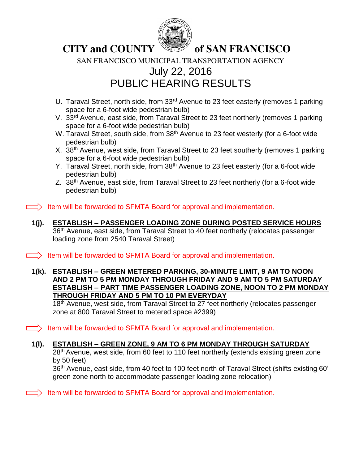

### **CITY and COUNTY SECOUNTY** of SAN FRANCISCO

SAN FRANCISCO MUNICIPAL TRANSPORTATION AGENCY

### July 22, 2016 PUBLIC HEARING RESULTS

- U. Taraval Street, north side, from 33<sup>rd</sup> Avenue to 23 feet easterly (removes 1 parking space for a 6-foot wide pedestrian bulb)
- V. 33rd Avenue, east side, from Taraval Street to 23 feet northerly (removes 1 parking space for a 6-foot wide pedestrian bulb)
- W. Taraval Street, south side, from 38<sup>th</sup> Avenue to 23 feet westerly (for a 6-foot wide pedestrian bulb)
- X. 38<sup>th</sup> Avenue, west side, from Taraval Street to 23 feet southerly (removes 1 parking space for a 6-foot wide pedestrian bulb)
- Y. Taraval Street, north side, from 38<sup>th</sup> Avenue to 23 feet easterly (for a 6-foot wide pedestrian bulb)
- Z. 38<sup>th</sup> Avenue, east side, from Taraval Street to 23 feet northerly (for a 6-foot wide pedestrian bulb)

 $\Rightarrow$  Item will be forwarded to SFMTA Board for approval and implementation.

**1(j). ESTABLISH – PASSENGER LOADING ZONE DURING POSTED SERVICE HOURS** 36<sup>th</sup> Avenue, east side, from Taraval Street to 40 feet northerly (relocates passenger loading zone from 2540 Taraval Street)

 $\Rightarrow$  Item will be forwarded to SFMTA Board for approval and implementation.

**1(k). ESTABLISH – GREEN METERED PARKING, 30-MINUTE LIMIT, 9 AM TO NOON AND 2 PM TO 5 PM MONDAY THROUGH FRIDAY AND 9 AM TO 5 PM SATURDAY ESTABLISH – PART TIME PASSENGER LOADING ZONE, NOON TO 2 PM MONDAY THROUGH FRIDAY AND 5 PM TO 10 PM EVERYDAY**

18<sup>th</sup> Avenue, west side, from Taraval Street to 27 feet northerly (relocates passenger zone at 800 Taraval Street to metered space #2399)

 $\Box$ ) Item will be forwarded to SFMTA Board for approval and implementation.

### **1(l). ESTABLISH – GREEN ZONE, 9 AM TO 6 PM MONDAY THROUGH SATURDAY**

28<sup>th</sup> Avenue, west side, from 60 feet to 110 feet northerly (extends existing green zone by 50 feet)

36<sup>th</sup> Avenue, east side, from 40 feet to 100 feet north of Taraval Street (shifts existing 60' green zone north to accommodate passenger loading zone relocation)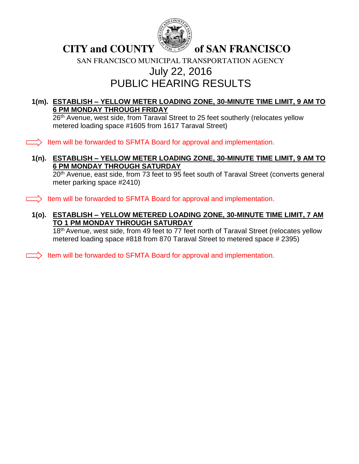

SAN FRANCISCO MUNICIPAL TRANSPORTATION AGENCY

### July 22, 2016 PUBLIC HEARING RESULTS

### **1(m). ESTABLISH – YELLOW METER LOADING ZONE, 30-MINUTE TIME LIMIT, 9 AM TO 6 PM MONDAY THROUGH FRIDAY**

26<sup>th</sup> Avenue, west side, from Taraval Street to 25 feet southerly (relocates yellow metered loading space #1605 from 1617 Taraval Street)

 $\Box$ ) Item will be forwarded to SFMTA Board for approval and implementation.

#### **1(n). ESTABLISH – YELLOW METER LOADING ZONE, 30-MINUTE TIME LIMIT, 9 AM TO 6 PM MONDAY THROUGH SATURDAY**

20<sup>th</sup> Avenue, east side, from 73 feet to 95 feet south of Taraval Street (converts general meter parking space #2410)

 $\Box$ ) Item will be forwarded to SFMTA Board for approval and implementation.

**1(o). ESTABLISH – YELLOW METERED LOADING ZONE, 30-MINUTE TIME LIMIT, 7 AM TO 1 PM MONDAY THROUGH SATURDAY**

18<sup>th</sup> Avenue, west side, from 49 feet to 77 feet north of Taraval Street (relocates yellow metered loading space #818 from 870 Taraval Street to metered space # 2395)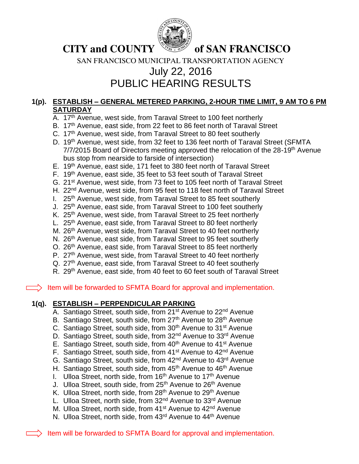

**CITY and COUNTY SALLOWS OF SAN FRANCISCO** 

SAN FRANCISCO MUNICIPAL TRANSPORTATION AGENCY

### July 22, 2016 PUBLIC HEARING RESULTS

### **1(p). ESTABLISH – GENERAL METERED PARKING, 2-HOUR TIME LIMIT, 9 AM TO 6 PM SATURDAY**

- A. 17<sup>th</sup> Avenue, west side, from Taraval Street to 100 feet northerly
- B. 17<sup>th</sup> Avenue, east side, from 22 feet to 86 feet north of Taraval Street
- C. 17<sup>th</sup> Avenue, west side, from Taraval Street to 80 feet southerly
- D. 19<sup>th</sup> Avenue, west side, from 32 feet to 136 feet north of Taraval Street (SFMTA 7/7/2015 Board of Directors meeting approved the relocation of the 28-19<sup>th</sup> Avenue bus stop from nearside to farside of intersection)
- E. 19th Avenue, east side, 171 feet to 380 feet north of Taraval Street
- F. 19th Avenue, east side, 35 feet to 53 feet south of Taraval Street
- G. 21st Avenue, west side, from 73 feet to 105 feet north of Taraval Street
- H. 22<sup>nd</sup> Avenue, west side, from 95 feet to 118 feet north of Taraval Street
- I.  $25<sup>th</sup>$  Avenue, west side, from Taraval Street to 85 feet southerly
- J. 25<sup>th</sup> Avenue, east side, from Taraval Street to 100 feet southerly
- K. 25<sup>th</sup> Avenue, west side, from Taraval Street to 25 feet northerly
- L. 25<sup>th</sup> Avenue, east side, from Taraval Street to 80 feet northerly
- M. 26<sup>th</sup> Avenue, west side, from Taraval Street to 40 feet northerly
- N. 26<sup>th</sup> Avenue, east side, from Taraval Street to 95 feet southerly
- O. 26<sup>th</sup> Avenue, east side, from Taraval Street to 85 feet northerly
- P. 27<sup>th</sup> Avenue, west side, from Taraval Street to 40 feet northerly
- Q. 27<sup>th</sup> Avenue, east side, from Taraval Street to 40 feet southerly
- R. 29<sup>th</sup> Avenue, east side, from 40 feet to 60 feet south of Taraval Street

 $\equiv$  Item will be forwarded to SFMTA Board for approval and implementation.

### **1(q). ESTABLISH – PERPENDICULAR PARKING**

- A. Santiago Street, south side, from 21<sup>st</sup> Avenue to 22<sup>nd</sup> Avenue
- B. Santiago Street, south side, from 27<sup>th</sup> Avenue to 28<sup>th</sup> Avenue
- C. Santiago Street, south side, from 30<sup>th</sup> Avenue to 31<sup>st</sup> Avenue
- D. Santiago Street, south side, from 32<sup>nd</sup> Avenue to 33<sup>rd</sup> Avenue
- E. Santiago Street, south side, from 40<sup>th</sup> Avenue to 41<sup>st</sup> Avenue
- F. Santiago Street, south side, from 41<sup>st</sup> Avenue to 42<sup>nd</sup> Avenue
- G. Santiago Street, south side, from 42nd Avenue to 43rd Avenue
- H. Santiago Street, south side, from 45<sup>th</sup> Avenue to 46<sup>th</sup> Avenue
- I. Ulloa Street, north side, from 16<sup>th</sup> Avenue to 17<sup>th</sup> Avenue
- J. Ulloa Street, south side, from 25<sup>th</sup> Avenue to 26<sup>th</sup> Avenue
- K. Ulloa Street, north side, from 28<sup>th</sup> Avenue to 29<sup>th</sup> Avenue
- L. Ulloa Street, north side, from 32<sup>nd</sup> Avenue to 33<sup>rd</sup> Avenue
- M. Ulloa Street, north side, from 41<sup>st</sup> Avenue to 42<sup>nd</sup> Avenue
- N. Ulloa Street, north side, from 43<sup>rd</sup> Avenue to 44<sup>th</sup> Avenue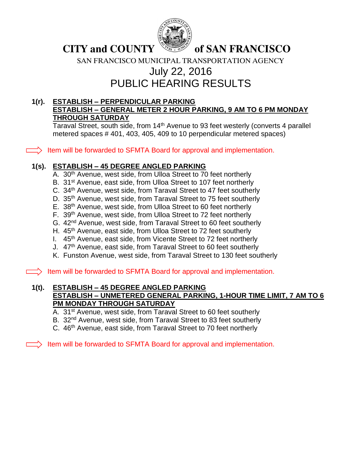

**CITY and COUNTY SECONTY** of SAN FRANCISCO

SAN FRANCISCO MUNICIPAL TRANSPORTATION AGENCY

## July 22, 2016 PUBLIC HEARING RESULTS

### **1(r). ESTABLISH – PERPENDICULAR PARKING ESTABLISH – GENERAL METER 2 HOUR PARKING, 9 AM TO 6 PM MONDAY THROUGH SATURDAY**

Taraval Street, south side, from 14<sup>th</sup> Avenue to 93 feet westerly (converts 4 parallel metered spaces # 401, 403, 405, 409 to 10 perpendicular metered spaces)

 $\Rightarrow$  Item will be forwarded to SFMTA Board for approval and implementation.

### **1(s). ESTABLISH – 45 DEGREE ANGLED PARKING**

- A. 30<sup>th</sup> Avenue, west side, from Ulloa Street to 70 feet northerly
- B. 31<sup>st</sup> Avenue, east side, from Ulloa Street to 107 feet northerly
- C. 34<sup>th</sup> Avenue, west side, from Taraval Street to 47 feet southerly
- D. 35<sup>th</sup> Avenue, west side, from Taraval Street to 75 feet southerly
- E. 38th Avenue, west side, from Ulloa Street to 60 feet northerly
- F. 39th Avenue, west side, from Ulloa Street to 72 feet northerly
- G. 42<sup>nd</sup> Avenue, west side, from Taraval Street to 60 feet southerly
- H. 45<sup>th</sup> Avenue, east side, from Ulloa Street to 72 feet southerly
- I. 45<sup>th</sup> Avenue, east side, from Vicente Street to 72 feet northerly
- J. 47<sup>th</sup> Avenue, east side, from Taraval Street to 60 feet southerly
- K. Funston Avenue, west side, from Taraval Street to 130 feet southerly

 $\Box$ ) Item will be forwarded to SFMTA Board for approval and implementation.

#### **1(t). ESTABLISH – 45 DEGREE ANGLED PARKING ESTABLISH – UNMETERED GENERAL PARKING, 1-HOUR TIME LIMIT, 7 AM TO 6 PM MONDAY THROUGH SATURDAY**

- A. 31st Avenue, west side, from Taraval Street to 60 feet southerly
- B. 32<sup>nd</sup> Avenue, west side, from Taraval Street to 83 feet southerly
- C. 46<sup>th</sup> Avenue, east side, from Taraval Street to 70 feet northerly